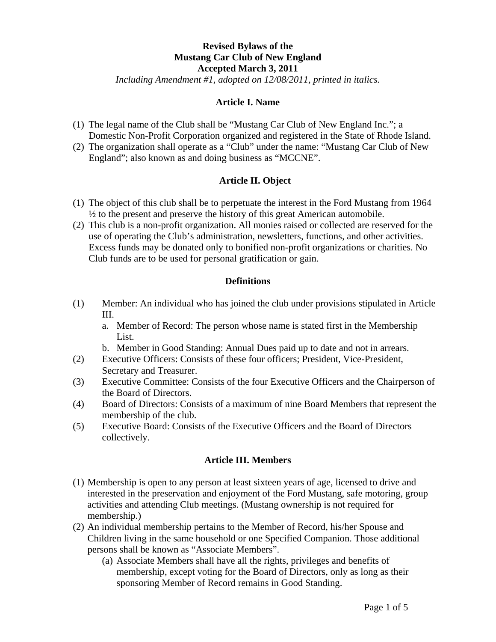# **Revised Bylaws of the Mustang Car Club of New England Accepted March 3, 2011**

*Including Amendment #1, adopted on 12/08/2011, printed in italics.* 

#### **Article I. Name**

- (1) The legal name of the Club shall be "Mustang Car Club of New England Inc."; a Domestic Non-Profit Corporation organized and registered in the State of Rhode Island.
- (2) The organization shall operate as a "Club" under the name: "Mustang Car Club of New England"; also known as and doing business as "MCCNE".

#### **Article II. Object**

- (1) The object of this club shall be to perpetuate the interest in the Ford Mustang from 1964  $\frac{1}{2}$  to the present and preserve the history of this great American automobile.
- (2) This club is a non-profit organization. All monies raised or collected are reserved for the use of operating the Club's administration, newsletters, functions, and other activities. Excess funds may be donated only to bonified non-profit organizations or charities. No Club funds are to be used for personal gratification or gain.

#### **Definitions**

- (1) Member: An individual who has joined the club under provisions stipulated in Article III.
	- a. Member of Record: The person whose name is stated first in the Membership List.
	- b. Member in Good Standing: Annual Dues paid up to date and not in arrears.
- (2) Executive Officers: Consists of these four officers; President, Vice-President, Secretary and Treasurer.
- (3) Executive Committee: Consists of the four Executive Officers and the Chairperson of the Board of Directors.
- (4) Board of Directors: Consists of a maximum of nine Board Members that represent the membership of the club.
- (5) Executive Board: Consists of the Executive Officers and the Board of Directors collectively.

#### **Article III. Members**

- (1) Membership is open to any person at least sixteen years of age, licensed to drive and interested in the preservation and enjoyment of the Ford Mustang, safe motoring, group activities and attending Club meetings. (Mustang ownership is not required for membership.)
- (2) An individual membership pertains to the Member of Record, his/her Spouse and Children living in the same household or one Specified Companion. Those additional persons shall be known as "Associate Members".
	- (a) Associate Members shall have all the rights, privileges and benefits of membership, except voting for the Board of Directors, only as long as their sponsoring Member of Record remains in Good Standing.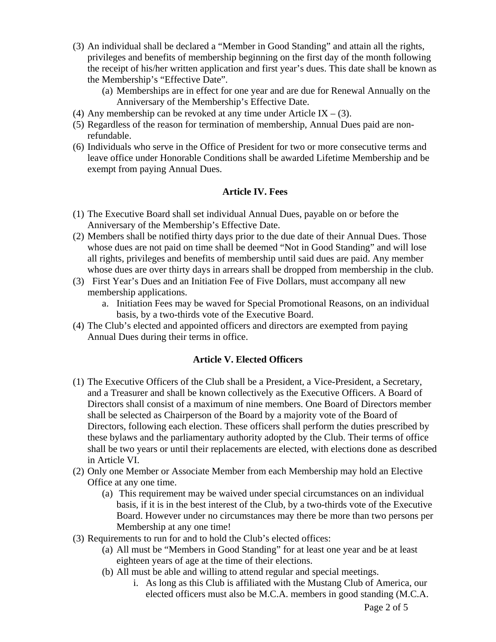- (3) An individual shall be declared a "Member in Good Standing" and attain all the rights, privileges and benefits of membership beginning on the first day of the month following the receipt of his/her written application and first year's dues. This date shall be known as the Membership's "Effective Date".
	- (a) Memberships are in effect for one year and are due for Renewal Annually on the Anniversary of the Membership's Effective Date.
- (4) Any membership can be revoked at any time under Article IX (3).
- (5) Regardless of the reason for termination of membership, Annual Dues paid are nonrefundable.
- (6) Individuals who serve in the Office of President for two or more consecutive terms and leave office under Honorable Conditions shall be awarded Lifetime Membership and be exempt from paying Annual Dues.

## **Article IV. Fees**

- (1) The Executive Board shall set individual Annual Dues, payable on or before the Anniversary of the Membership's Effective Date.
- (2) Members shall be notified thirty days prior to the due date of their Annual Dues. Those whose dues are not paid on time shall be deemed "Not in Good Standing" and will lose all rights, privileges and benefits of membership until said dues are paid. Any member whose dues are over thirty days in arrears shall be dropped from membership in the club.
- (3) First Year's Dues and an Initiation Fee of Five Dollars, must accompany all new membership applications.
	- a. Initiation Fees may be waved for Special Promotional Reasons, on an individual basis, by a two-thirds vote of the Executive Board.
- (4) The Club's elected and appointed officers and directors are exempted from paying Annual Dues during their terms in office.

## **Article V. Elected Officers**

- (1) The Executive Officers of the Club shall be a President, a Vice-President, a Secretary, and a Treasurer and shall be known collectively as the Executive Officers. A Board of Directors shall consist of a maximum of nine members. One Board of Directors member shall be selected as Chairperson of the Board by a majority vote of the Board of Directors, following each election. These officers shall perform the duties prescribed by these bylaws and the parliamentary authority adopted by the Club. Their terms of office shall be two years or until their replacements are elected, with elections done as described in Article VI.
- (2) Only one Member or Associate Member from each Membership may hold an Elective Office at any one time.
	- (a) This requirement may be waived under special circumstances on an individual basis, if it is in the best interest of the Club, by a two-thirds vote of the Executive Board. However under no circumstances may there be more than two persons per Membership at any one time!
- (3) Requirements to run for and to hold the Club's elected offices:
	- (a) All must be "Members in Good Standing" for at least one year and be at least eighteen years of age at the time of their elections.
	- (b) All must be able and willing to attend regular and special meetings.
		- i. As long as this Club is affiliated with the Mustang Club of America, our elected officers must also be M.C.A. members in good standing (M.C.A.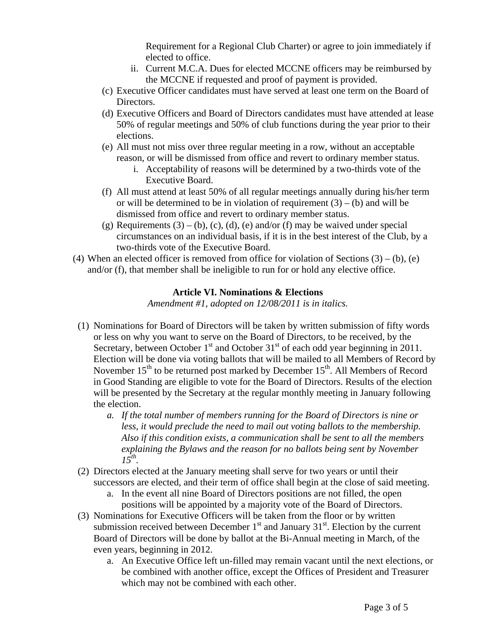Requirement for a Regional Club Charter) or agree to join immediately if elected to office.

- ii. Current M.C.A. Dues for elected MCCNE officers may be reimbursed by the MCCNE if requested and proof of payment is provided.
- (c) Executive Officer candidates must have served at least one term on the Board of Directors.
- (d) Executive Officers and Board of Directors candidates must have attended at lease 50% of regular meetings and 50% of club functions during the year prior to their elections.
- (e) All must not miss over three regular meeting in a row, without an acceptable reason, or will be dismissed from office and revert to ordinary member status.
	- i. Acceptability of reasons will be determined by a two-thirds vote of the Executive Board.
- (f) All must attend at least 50% of all regular meetings annually during his/her term or will be determined to be in violation of requirement  $(3) - (b)$  and will be dismissed from office and revert to ordinary member status.
- (g) Requirements  $(3) (b)$ , (c), (d), (e) and/or (f) may be waived under special circumstances on an individual basis, if it is in the best interest of the Club, by a two-thirds vote of the Executive Board.
- (4) When an elected officer is removed from office for violation of Sections  $(3) (b)$ , (e) and/or (f), that member shall be ineligible to run for or hold any elective office.

## **Article VI. Nominations & Elections**

*Amendment #1, adopted on 12/08/2011 is in italics.* 

- (1) Nominations for Board of Directors will be taken by written submission of fifty words or less on why you want to serve on the Board of Directors, to be received, by the Secretary, between October  $1<sup>st</sup>$  and October  $31<sup>st</sup>$  of each odd year beginning in 2011. Election will be done via voting ballots that will be mailed to all Members of Record by November  $15<sup>th</sup>$  to be returned post marked by December  $15<sup>th</sup>$ . All Members of Record in Good Standing are eligible to vote for the Board of Directors. Results of the election will be presented by the Secretary at the regular monthly meeting in January following the election.
	- *a. If the total number of members running for the Board of Directors is nine or less, it would preclude the need to mail out voting ballots to the membership. Also if this condition exists, a communication shall be sent to all the members explaining the Bylaws and the reason for no ballots being sent by November*   $15^{th}$ .
- (2) Directors elected at the January meeting shall serve for two years or until their successors are elected, and their term of office shall begin at the close of said meeting.
	- a. In the event all nine Board of Directors positions are not filled, the open positions will be appointed by a majority vote of the Board of Directors.
- (3) Nominations for Executive Officers will be taken from the floor or by written submission received between December  $1<sup>st</sup>$  and January 31 $<sup>st</sup>$ . Election by the current</sup> Board of Directors will be done by ballot at the Bi-Annual meeting in March, of the even years, beginning in 2012.
	- a. An Executive Office left un-filled may remain vacant until the next elections, or be combined with another office, except the Offices of President and Treasurer which may not be combined with each other.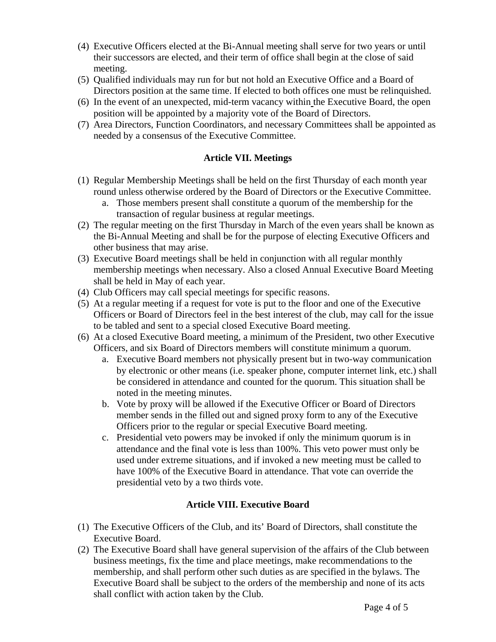- (4) Executive Officers elected at the Bi-Annual meeting shall serve for two years or until their successors are elected, and their term of office shall begin at the close of said meeting.
- (5) Qualified individuals may run for but not hold an Executive Office and a Board of Directors position at the same time. If elected to both offices one must be relinquished.
- (6) In the event of an unexpected, mid-term vacancy within the Executive Board, the open position will be appointed by a majority vote of the Board of Directors.
- (7) Area Directors, Function Coordinators, and necessary Committees shall be appointed as needed by a consensus of the Executive Committee.

# **Article VII. Meetings**

- (1) Regular Membership Meetings shall be held on the first Thursday of each month year round unless otherwise ordered by the Board of Directors or the Executive Committee.
	- a. Those members present shall constitute a quorum of the membership for the transaction of regular business at regular meetings.
- (2) The regular meeting on the first Thursday in March of the even years shall be known as the Bi-Annual Meeting and shall be for the purpose of electing Executive Officers and other business that may arise.
- (3) Executive Board meetings shall be held in conjunction with all regular monthly membership meetings when necessary. Also a closed Annual Executive Board Meeting shall be held in May of each year.
- (4) Club Officers may call special meetings for specific reasons.
- (5) At a regular meeting if a request for vote is put to the floor and one of the Executive Officers or Board of Directors feel in the best interest of the club, may call for the issue to be tabled and sent to a special closed Executive Board meeting.
- (6) At a closed Executive Board meeting, a minimum of the President, two other Executive Officers, and six Board of Directors members will constitute minimum a quorum.
	- a. Executive Board members not physically present but in two-way communication by electronic or other means (i.e. speaker phone, computer internet link, etc.) shall be considered in attendance and counted for the quorum. This situation shall be noted in the meeting minutes.
	- b. Vote by proxy will be allowed if the Executive Officer or Board of Directors member sends in the filled out and signed proxy form to any of the Executive Officers prior to the regular or special Executive Board meeting.
	- c. Presidential veto powers may be invoked if only the minimum quorum is in attendance and the final vote is less than 100%. This veto power must only be used under extreme situations, and if invoked a new meeting must be called to have 100% of the Executive Board in attendance. That vote can override the presidential veto by a two thirds vote.

## **Article VIII. Executive Board**

- (1) The Executive Officers of the Club, and its' Board of Directors, shall constitute the Executive Board.
- (2) The Executive Board shall have general supervision of the affairs of the Club between business meetings, fix the time and place meetings, make recommendations to the membership, and shall perform other such duties as are specified in the bylaws. The Executive Board shall be subject to the orders of the membership and none of its acts shall conflict with action taken by the Club.